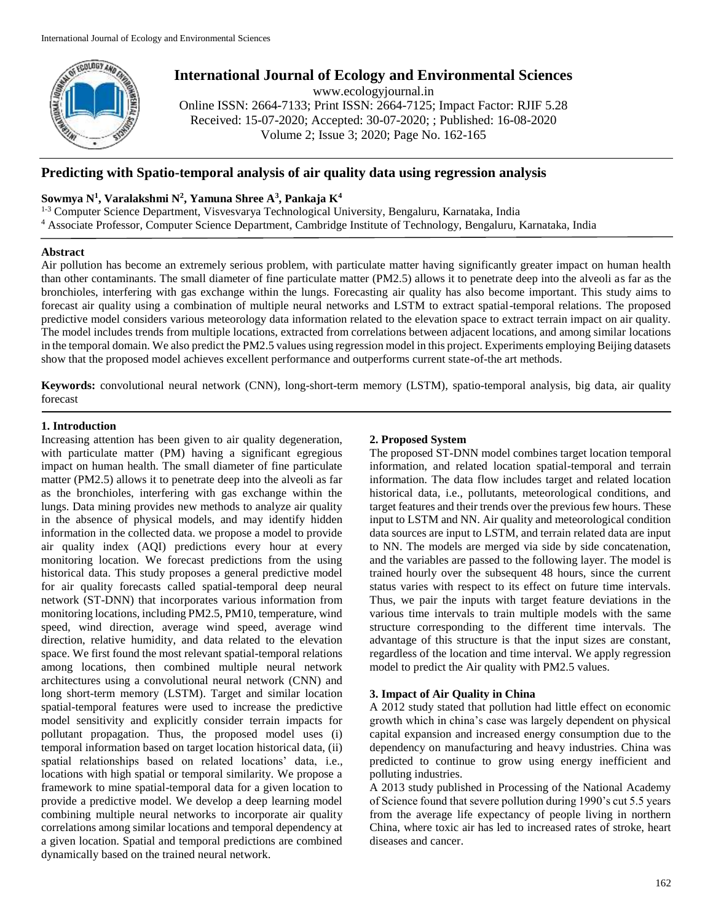

# **International Journal of Ecology and Environmental Sciences**

www.ecologyjournal.in

Online ISSN: 2664-7133; Print ISSN: 2664-7125; Impact Factor: RJIF 5.28 Received: 15-07-2020; Accepted: 30-07-2020; ; Published: 16-08-2020 Volume 2; Issue 3; 2020; Page No. 162-165

# **Predicting with Spatio-temporal analysis of air quality data using regression analysis**

## **Sowmya N<sup>1</sup> , Varalakshmi N<sup>2</sup> , Yamuna Shree A<sup>3</sup> , Pankaja K<sup>4</sup>**

<sup>1-3</sup> Computer Science Department, Visvesvarya Technological University, Bengaluru, Karnataka, India <sup>4</sup> Associate Professor, Computer Science Department, Cambridge Institute of Technology, Bengaluru, Karnataka, India

## **Abstract**

Air pollution has become an extremely serious problem, with particulate matter having significantly greater impact on human health than other contaminants. The small diameter of fine particulate matter (PM2.5) allows it to penetrate deep into the alveoli as far as the bronchioles, interfering with gas exchange within the lungs. Forecasting air quality has also become important. This study aims to forecast air quality using a combination of multiple neural networks and LSTM to extract spatial-temporal relations. The proposed predictive model considers various meteorology data information related to the elevation space to extract terrain impact on air quality. The model includes trends from multiple locations, extracted from correlations between adjacent locations, and among similar locations in the temporal domain. We also predict the PM2.5 values using regression model in this project. Experiments employing Beijing datasets show that the proposed model achieves excellent performance and outperforms current state-of-the art methods.

**Keywords:** convolutional neural network (CNN), long-short-term memory (LSTM), spatio-temporal analysis, big data, air quality forecast

## **1. Introduction**

Increasing attention has been given to air quality degeneration, with particulate matter (PM) having a significant egregious impact on human health. The small diameter of fine particulate matter (PM2.5) allows it to penetrate deep into the alveoli as far as the bronchioles, interfering with gas exchange within the lungs. Data mining provides new methods to analyze air quality in the absence of physical models, and may identify hidden information in the collected data. we propose a model to provide air quality index (AQI) predictions every hour at every monitoring location. We forecast predictions from the using historical data. This study proposes a general predictive model for air quality forecasts called spatial-temporal deep neural network (ST-DNN) that incorporates various information from monitoring locations, including PM2.5, PM10, temperature, wind speed, wind direction, average wind speed, average wind direction, relative humidity, and data related to the elevation space. We first found the most relevant spatial-temporal relations among locations, then combined multiple neural network architectures using a convolutional neural network (CNN) and long short-term memory (LSTM). Target and similar location spatial-temporal features were used to increase the predictive model sensitivity and explicitly consider terrain impacts for pollutant propagation. Thus, the proposed model uses (i) temporal information based on target location historical data, (ii) spatial relationships based on related locations' data, i.e., locations with high spatial or temporal similarity. We propose a framework to mine spatial-temporal data for a given location to provide a predictive model. We develop a deep learning model combining multiple neural networks to incorporate air quality correlations among similar locations and temporal dependency at a given location. Spatial and temporal predictions are combined dynamically based on the trained neural network.

## **2. Proposed System**

The proposed ST-DNN model combines target location temporal information, and related location spatial-temporal and terrain information. The data flow includes target and related location historical data, i.e., pollutants, meteorological conditions, and target features and their trends over the previous few hours. These input to LSTM and NN. Air quality and meteorological condition data sources are input to LSTM, and terrain related data are input to NN. The models are merged via side by side concatenation, and the variables are passed to the following layer. The model is trained hourly over the subsequent 48 hours, since the current status varies with respect to its effect on future time intervals. Thus, we pair the inputs with target feature deviations in the various time intervals to train multiple models with the same structure corresponding to the different time intervals. The advantage of this structure is that the input sizes are constant, regardless of the location and time interval. We apply regression model to predict the Air quality with PM2.5 values.

## **3. Impact of Air Quality in China**

A 2012 study stated that pollution had little effect on economic growth which in china's case was largely dependent on physical capital expansion and increased energy consumption due to the dependency on manufacturing and heavy industries. China was predicted to continue to grow using energy inefficient and polluting industries.

A 2013 study published in Processing of the National Academy of Science found that severe pollution during 1990's cut 5.5 years from the average life expectancy of people living in northern China, where toxic air has led to increased rates of stroke, heart diseases and cancer.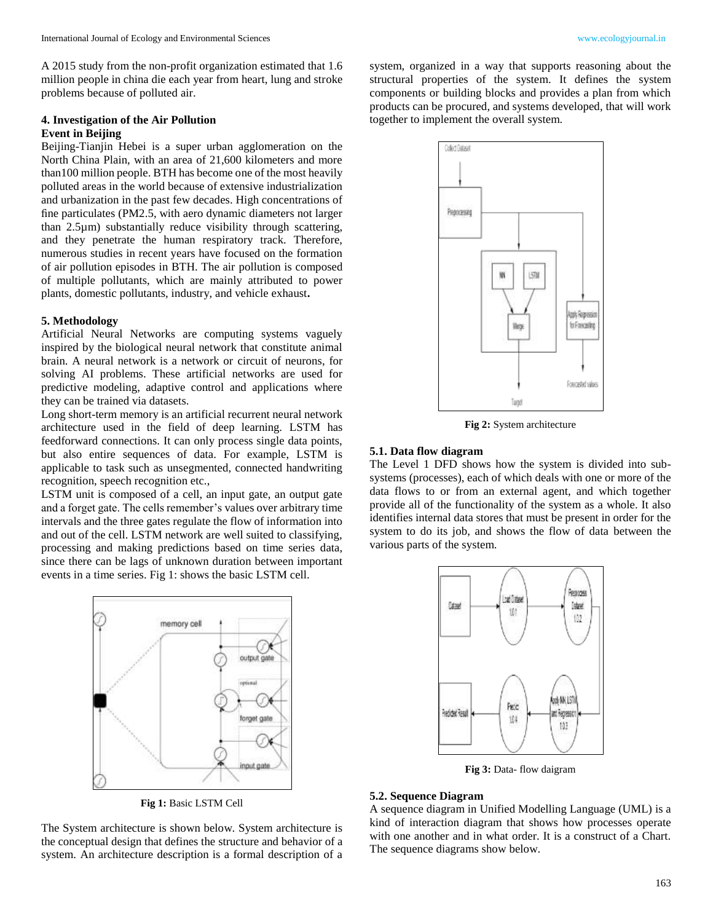A 2015 study from the non-profit organization estimated that 1.6 million people in china die each year from heart, lung and stroke problems because of polluted air.

## **4. Investigation of the Air Pollution Event in Beijing**

Beijing-Tianjin Hebei is a super urban agglomeration on the North China Plain, with an area of 21,600 kilometers and more than100 million people. BTH has become one of the most heavily polluted areas in the world because of extensive industrialization and urbanization in the past few decades. High concentrations of fine particulates (PM2.5, with aero dynamic diameters not larger than 2.5µm) substantially reduce visibility through scattering, and they penetrate the human respiratory track. Therefore, numerous studies in recent years have focused on the formation of air pollution episodes in BTH. The air pollution is composed of multiple pollutants, which are mainly attributed to power plants, domestic pollutants, industry, and vehicle exhaust**.**

#### **5. Methodology**

Artificial Neural Networks are computing systems vaguely inspired by the biological neural network that constitute animal brain. A neural network is a network or circuit of neurons, for solving AI problems. These artificial networks are used for predictive modeling, adaptive control and applications where they can be trained via datasets.

Long short-term memory is an artificial recurrent neural network architecture used in the field of deep learning. LSTM has feedforward connections. It can only process single data points, but also entire sequences of data. For example, LSTM is applicable to task such as unsegmented, connected handwriting recognition, speech recognition etc.,

LSTM unit is composed of a cell, an input gate, an output gate and a forget gate. The cells remember's values over arbitrary time intervals and the three gates regulate the flow of information into and out of the cell. LSTM network are well suited to classifying, processing and making predictions based on time series data, since there can be lags of unknown duration between important events in a time series. Fig 1: shows the basic LSTM cell.



**Fig 1:** Basic LSTM Cell

The System architecture is shown below. System architecture is the conceptual design that defines the structure and behavior of a system. An architecture description is a formal description of a

system, organized in a way that supports reasoning about the structural properties of the system. It defines the system components or building blocks and provides a plan from which products can be procured, and systems developed, that will work together to implement the overall system.



**Fig 2:** System architecture

#### **5.1. Data flow diagram**

The Level 1 DFD shows how the system is divided into subsystems (processes), each of which deals with one or more of the data flows to or from an external agent, and which together provide all of the functionality of the system as a whole. It also identifies internal data stores that must be present in order for the system to do its job, and shows the flow of data between the various parts of the system.



**Fig 3:** Data- flow daigram

#### **5.2. Sequence Diagram**

A sequence diagram in Unified Modelling Language (UML) is a kind of interaction diagram that shows how processes operate with one another and in what order. It is a construct of a Chart. The sequence diagrams show below.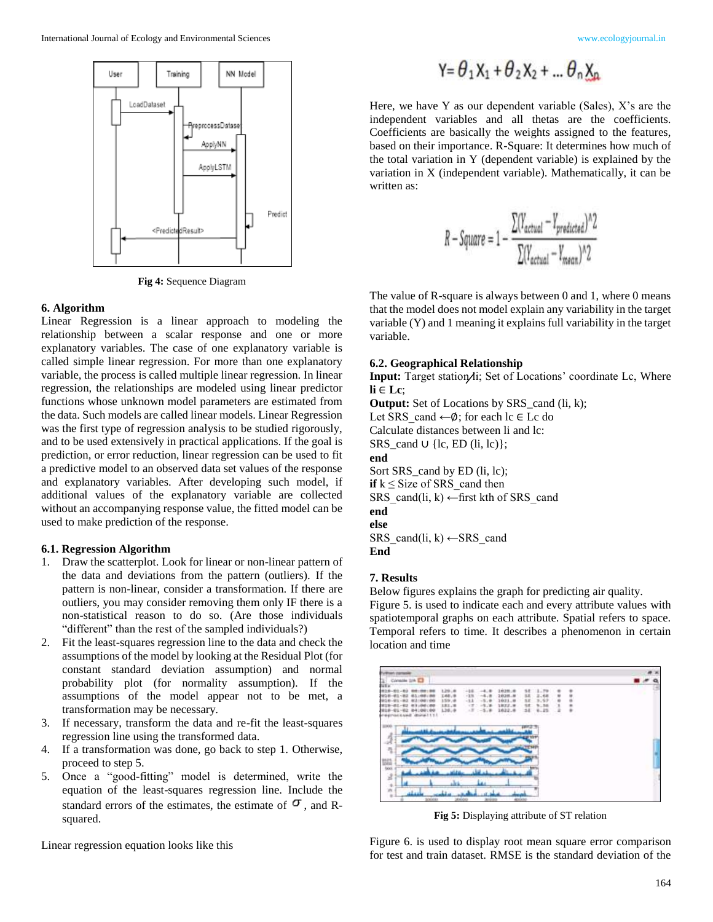

**Fig 4:** Sequence Diagram

## **6. Algorithm**

Linear Regression is a linear approach to modeling the relationship between a scalar response and one or more explanatory variables. The case of one explanatory variable is called simple linear regression. For more than one explanatory variable, the process is called multiple linear regression. In linear regression, the relationships are modeled using linear predictor functions whose unknown model parameters are estimated from the data. Such models are called linear models. Linear Regression was the first type of regression analysis to be studied rigorously, and to be used extensively in practical applications. If the goal is prediction, or error reduction, linear regression can be used to fit a predictive model to an observed data set values of the response and explanatory variables. After developing such model, if additional values of the explanatory variable are collected without an accompanying response value, the fitted model can be used to make prediction of the response.

#### **6.1. Regression Algorithm**

- 1. Draw the scatterplot. Look for linear or non-linear pattern of the data and deviations from the pattern (outliers). If the pattern is non-linear, consider a transformation. If there are outliers, you may consider removing them only IF there is a non-statistical reason to do so. (Are those individuals "different" than the rest of the sampled individuals?)
- 2. Fit the least-squares regression line to the data and check the assumptions of the model by looking at the Residual Plot (for constant standard deviation assumption) and normal probability plot (for normality assumption). If the assumptions of the model appear not to be met, a transformation may be necessary.
- 3. If necessary, transform the data and re-fit the least-squares regression line using the transformed data.
- 4. If a transformation was done, go back to step 1. Otherwise, proceed to step 5.
- 5. Once a "good-fitting" model is determined, write the equation of the least-squares regression line. Include the standard errors of the estimates, the estimate of  $\sigma$ , and Rsquared.

Linear regression equation looks like this

$$
Y = \theta_1 X_1 + \theta_2 X_2 + \dots \theta_n X_n
$$

Here, we have Y as our dependent variable (Sales), X's are the independent variables and all thetas are the coefficients. Coefficients are basically the weights assigned to the features, based on their importance. R-Square: It determines how much of the total variation in Y (dependent variable) is explained by the variation in X (independent variable). Mathematically, it can be written as:

$$
R-Square = 1 - \frac{\sum (Y_{actual} - Y_{predicted})^2}{\sum (Y_{actual} - Y_{mean})^2}
$$

The value of R-square is always between 0 and 1, where 0 means that the model does not model explain any variability in the target variable (Y) and 1 meaning it explains full variability in the target variable.

#### **6.2. Geographical Relationship**

**Input:** Target station/i; Set of Locations' coordinate Lc, Where  $\mathbf{li} \in \mathbf{Lc}$ ;

**Output:** Set of Locations by SRS\_cand (li, k); Let SRS cand  $\leftarrow \emptyset$ ; for each lc ∈ Lc do Calculate distances between li and lc: SRS cand ∪ {lc, ED (li, lc)}; **end** Sort SRS\_cand by ED (li, lc); **if**  $k \leq$  Size of SRS cand then SRS cand(li, k)  $\leftarrow$  first kth of SRS cand **end else** SRS cand(li, k)  $\leftarrow$ SRS cand **End**

## **7. Results**

Below figures explains the graph for predicting air quality.

Figure 5. is used to indicate each and every attribute values with spatiotemporal graphs on each attribute. Spatial refers to space. Temporal refers to time. It describes a phenomenon in certain location and time



**Fig 5:** Displaying attribute of ST relation

Figure 6. is used to display root mean square error comparison for test and train dataset. RMSE is the standard deviation of the